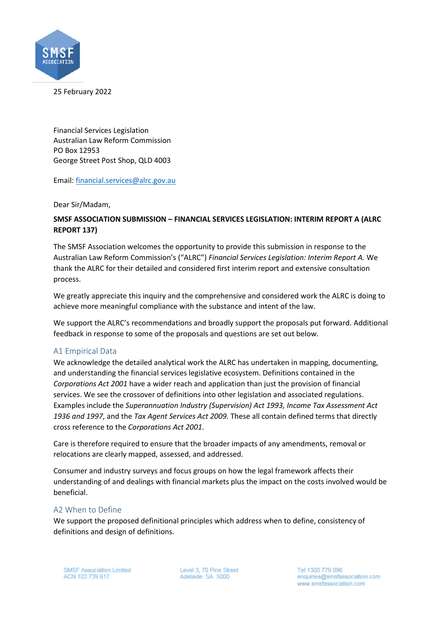

25 February 2022

Financial Services Legislation Australian Law Reform Commission PO Box 12953 George Street Post Shop, QLD 4003

Email: financial.services@alrc.gov.au

Dear Sir/Madam,

## **SMSF ASSOCIATION SUBMISSION – FINANCIAL SERVICES LEGISLATION: INTERIM REPORT A (ALRC REPORT 137)**

The SMSF Association welcomes the opportunity to provide this submission in response to the Australian Law Reform Commission's ("ALRC") *Financial Services Legislation: Interim Report A.* We thank the ALRC for their detailed and considered first interim report and extensive consultation process.

We greatly appreciate this inquiry and the comprehensive and considered work the ALRC is doing to achieve more meaningful compliance with the substance and intent of the law.

We support the ALRC's recommendations and broadly support the proposals put forward. Additional feedback in response to some of the proposals and questions are set out below.

## A1 Empirical Data

We acknowledge the detailed analytical work the ALRC has undertaken in mapping, documenting, and understanding the financial services legislative ecosystem. Definitions contained in the *Corporations Act 2001* have a wider reach and application than just the provision of financial services. We see the crossover of definitions into other legislation and associated regulations. Examples include the *Superannuation Industry (Supervision) Act 1993, Income Tax Assessment Act 1936 and 1997*, and the *Tax Agent Services Act 2009.* These all contain defined terms that directly cross reference to the *Corporations Act 2001*.

Care is therefore required to ensure that the broader impacts of any amendments, removal or relocations are clearly mapped, assessed, and addressed.

Consumer and industry surveys and focus groups on how the legal framework affects their understanding of and dealings with financial markets plus the impact on the costs involved would be beneficial.

## A2 When to Define

We support the proposed definitional principles which address when to define, consistency of definitions and design of definitions.

Level 3, 70 Pirie Street Adelaide SA 5000

Tel 1300 779 096 enquiries@smsfassociation.com www.smsfassociation.com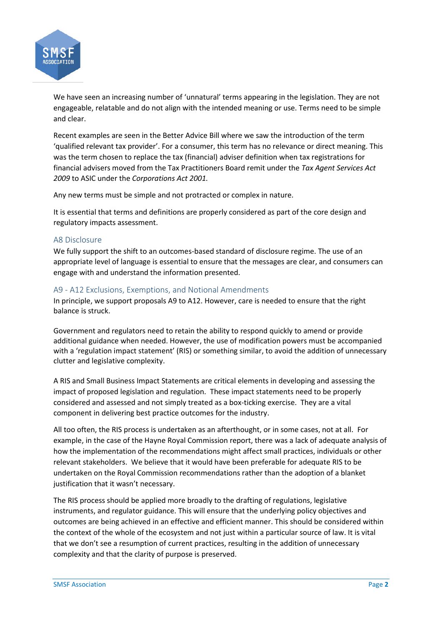

We have seen an increasing number of 'unnatural' terms appearing in the legislation. They are not engageable, relatable and do not align with the intended meaning or use. Terms need to be simple and clear.

Recent examples are seen in the Better Advice Bill where we saw the introduction of the term 'qualified relevant tax provider'. For a consumer, this term has no relevance or direct meaning. This was the term chosen to replace the tax (financial) adviser definition when tax registrations for financial advisers moved from the Tax Practitioners Board remit under the *Tax Agent Services Act 2009* to ASIC under the *Corporations Act 2001.* 

Any new terms must be simple and not protracted or complex in nature.

It is essential that terms and definitions are properly considered as part of the core design and regulatory impacts assessment.

### A8 Disclosure

We fully support the shift to an outcomes-based standard of disclosure regime. The use of an appropriate level of language is essential to ensure that the messages are clear, and consumers can engage with and understand the information presented.

### A9 - A12 Exclusions, Exemptions, and Notional Amendments

In principle, we support proposals A9 to A12. However, care is needed to ensure that the right balance is struck.

Government and regulators need to retain the ability to respond quickly to amend or provide additional guidance when needed. However, the use of modification powers must be accompanied with a 'regulation impact statement' (RIS) or something similar, to avoid the addition of unnecessary clutter and legislative complexity.

A RIS and Small Business Impact Statements are critical elements in developing and assessing the impact of proposed legislation and regulation. These impact statements need to be properly considered and assessed and not simply treated as a box-ticking exercise. They are a vital component in delivering best practice outcomes for the industry.

All too often, the RIS process is undertaken as an afterthought, or in some cases, not at all. For example, in the case of the Hayne Royal Commission report, there was a lack of adequate analysis of how the implementation of the recommendations might affect small practices, individuals or other relevant stakeholders. We believe that it would have been preferable for adequate RIS to be undertaken on the Royal Commission recommendations rather than the adoption of a blanket justification that it wasn't necessary.

The RIS process should be applied more broadly to the drafting of regulations, legislative instruments, and regulator guidance. This will ensure that the underlying policy objectives and outcomes are being achieved in an effective and efficient manner. This should be considered within the context of the whole of the ecosystem and not just within a particular source of law. It is vital that we don't see a resumption of current practices, resulting in the addition of unnecessary complexity and that the clarity of purpose is preserved.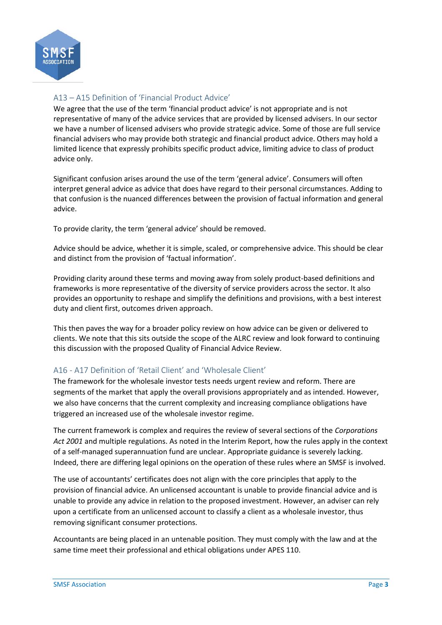

# A13 – A15 Definition of 'Financial Product Advice'

We agree that the use of the term 'financial product advice' is not appropriate and is not representative of many of the advice services that are provided by licensed advisers. In our sector we have a number of licensed advisers who provide strategic advice. Some of those are full service financial advisers who may provide both strategic and financial product advice. Others may hold a limited licence that expressly prohibits specific product advice, limiting advice to class of product advice only.

Significant confusion arises around the use of the term 'general advice'. Consumers will often interpret general advice as advice that does have regard to their personal circumstances. Adding to that confusion is the nuanced differences between the provision of factual information and general advice.

To provide clarity, the term 'general advice' should be removed.

Advice should be advice, whether it is simple, scaled, or comprehensive advice. This should be clear and distinct from the provision of 'factual information'.

Providing clarity around these terms and moving away from solely product-based definitions and frameworks is more representative of the diversity of service providers across the sector. It also provides an opportunity to reshape and simplify the definitions and provisions, with a best interest duty and client first, outcomes driven approach.

This then paves the way for a broader policy review on how advice can be given or delivered to clients. We note that this sits outside the scope of the ALRC review and look forward to continuing this discussion with the proposed Quality of Financial Advice Review.

## A16 - A17 Definition of 'Retail Client' and 'Wholesale Client'

The framework for the wholesale investor tests needs urgent review and reform. There are segments of the market that apply the overall provisions appropriately and as intended. However, we also have concerns that the current complexity and increasing compliance obligations have triggered an increased use of the wholesale investor regime.

The current framework is complex and requires the review of several sections of the *Corporations Act 2001* and multiple regulations. As noted in the Interim Report, how the rules apply in the context of a self-managed superannuation fund are unclear. Appropriate guidance is severely lacking. Indeed, there are differing legal opinions on the operation of these rules where an SMSF is involved.

The use of accountants' certificates does not align with the core principles that apply to the provision of financial advice. An unlicensed accountant is unable to provide financial advice and is unable to provide any advice in relation to the proposed investment. However, an adviser can rely upon a certificate from an unlicensed account to classify a client as a wholesale investor, thus removing significant consumer protections.

Accountants are being placed in an untenable position. They must comply with the law and at the same time meet their professional and ethical obligations under APES 110.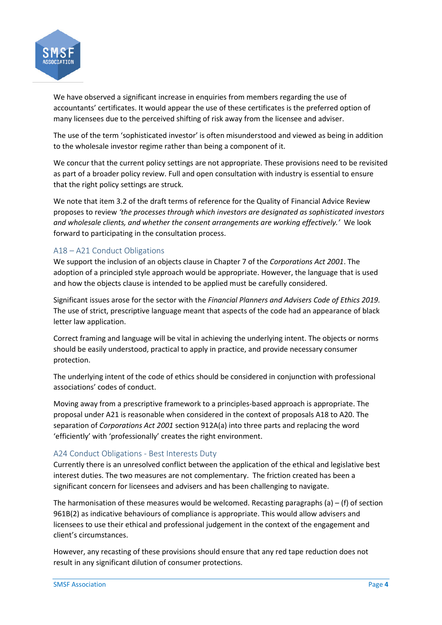

We have observed a significant increase in enquiries from members regarding the use of accountants' certificates. It would appear the use of these certificates is the preferred option of many licensees due to the perceived shifting of risk away from the licensee and adviser.

The use of the term 'sophisticated investor' is often misunderstood and viewed as being in addition to the wholesale investor regime rather than being a component of it.

We concur that the current policy settings are not appropriate. These provisions need to be revisited as part of a broader policy review. Full and open consultation with industry is essential to ensure that the right policy settings are struck.

We note that item 3.2 of the draft terms of reference for the Quality of Financial Advice Review proposes to review *'the processes through which investors are designated as sophisticated investors and wholesale clients, and whether the consent arrangements are working effectively.'* We look forward to participating in the consultation process.

## A18 – A21 Conduct Obligations

We support the inclusion of an objects clause in Chapter 7 of the *Corporations Act 2001*. The adoption of a principled style approach would be appropriate. However, the language that is used and how the objects clause is intended to be applied must be carefully considered.

Significant issues arose for the sector with the *Financial Planners and Advisers Code of Ethics 2019.* The use of strict, prescriptive language meant that aspects of the code had an appearance of black letter law application.

Correct framing and language will be vital in achieving the underlying intent. The objects or norms should be easily understood, practical to apply in practice, and provide necessary consumer protection.

The underlying intent of the code of ethics should be considered in conjunction with professional associations' codes of conduct.

Moving away from a prescriptive framework to a principles-based approach is appropriate. The proposal under A21 is reasonable when considered in the context of proposals A18 to A20. The separation of *Corporations Act 2001* section 912A(a) into three parts and replacing the word 'efficiently' with 'professionally' creates the right environment.

## A24 Conduct Obligations - Best Interests Duty

Currently there is an unresolved conflict between the application of the ethical and legislative best interest duties. The two measures are not complementary. The friction created has been a significant concern for licensees and advisers and has been challenging to navigate.

The harmonisation of these measures would be welcomed. Recasting paragraphs (a)  $-$  (f) of section 961B(2) as indicative behaviours of compliance is appropriate. This would allow advisers and licensees to use their ethical and professional judgement in the context of the engagement and client's circumstances.

However, any recasting of these provisions should ensure that any red tape reduction does not result in any significant dilution of consumer protections.